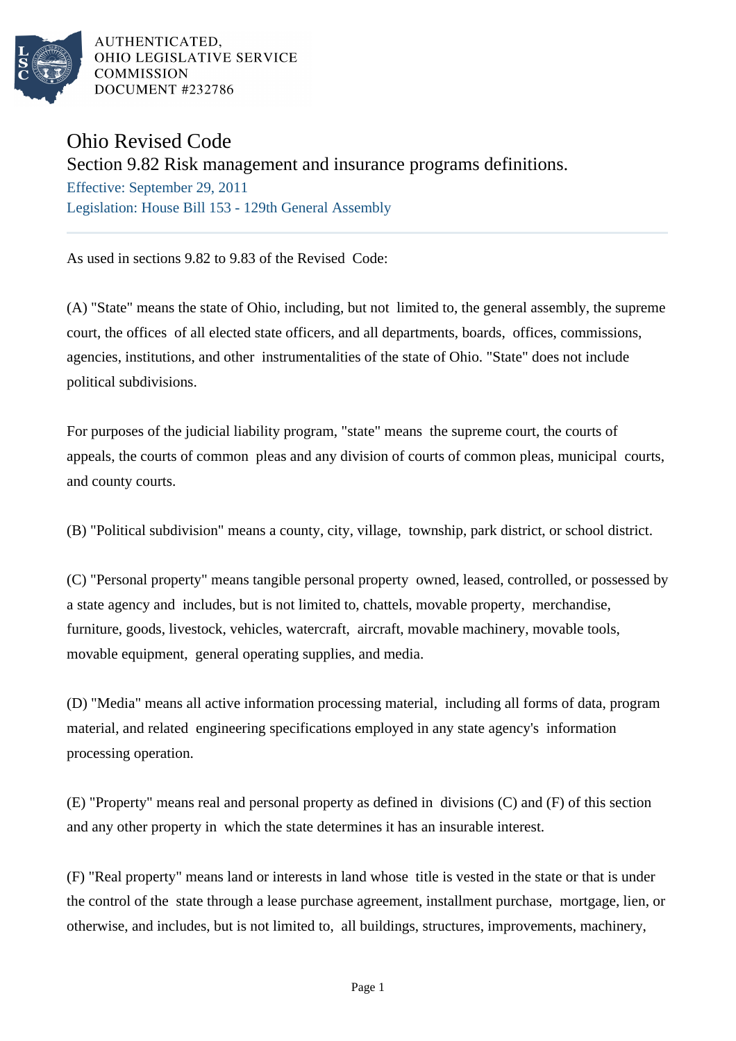

AUTHENTICATED. OHIO LEGISLATIVE SERVICE **COMMISSION** DOCUMENT #232786

## Ohio Revised Code

## Section 9.82 Risk management and insurance programs definitions.

Effective: September 29, 2011 Legislation: House Bill 153 - 129th General Assembly

As used in sections 9.82 to 9.83 of the Revised Code:

(A) "State" means the state of Ohio, including, but not limited to, the general assembly, the supreme court, the offices of all elected state officers, and all departments, boards, offices, commissions, agencies, institutions, and other instrumentalities of the state of Ohio. "State" does not include political subdivisions.

For purposes of the judicial liability program, "state" means the supreme court, the courts of appeals, the courts of common pleas and any division of courts of common pleas, municipal courts, and county courts.

(B) "Political subdivision" means a county, city, village, township, park district, or school district.

(C) "Personal property" means tangible personal property owned, leased, controlled, or possessed by a state agency and includes, but is not limited to, chattels, movable property, merchandise, furniture, goods, livestock, vehicles, watercraft, aircraft, movable machinery, movable tools, movable equipment, general operating supplies, and media.

(D) "Media" means all active information processing material, including all forms of data, program material, and related engineering specifications employed in any state agency's information processing operation.

(E) "Property" means real and personal property as defined in divisions (C) and (F) of this section and any other property in which the state determines it has an insurable interest.

(F) "Real property" means land or interests in land whose title is vested in the state or that is under the control of the state through a lease purchase agreement, installment purchase, mortgage, lien, or otherwise, and includes, but is not limited to, all buildings, structures, improvements, machinery,